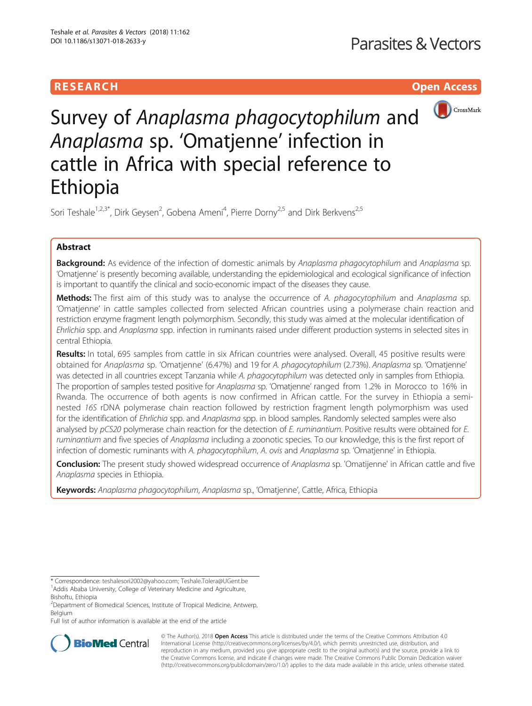# **RESEARCH CHILD CONTROL** CONTROL CONTROL CONTROL CONTROL CONTROL CONTROL CONTROL CONTROL CONTROL CONTROL CONTROL



Survey of Anaplasma phagocytophilum and Anaplasma sp. 'Omatjenne' infection in cattle in Africa with special reference to Ethiopia

Sori Teshale<sup>1,2,3\*</sup>, Dirk Geysen<sup>2</sup>, Gobena Ameni<sup>4</sup>, Pierre Dorny<sup>2,5</sup> and Dirk Berkvens<sup>2,5</sup>

# Abstract

**Background:** As evidence of the infection of domestic animals by Anaplasma phagocytophilum and Anaplasma sp. 'Omatjenne' is presently becoming available, understanding the epidemiological and ecological significance of infection is important to quantify the clinical and socio-economic impact of the diseases they cause.

Methods: The first aim of this study was to analyse the occurrence of A. phagocytophilum and Anaplasma sp. 'Omatjenne' in cattle samples collected from selected African countries using a polymerase chain reaction and restriction enzyme fragment length polymorphism. Secondly, this study was aimed at the molecular identification of Ehrlichia spp. and Anaplasma spp. infection in ruminants raised under different production systems in selected sites in central Ethiopia.

Results: In total, 695 samples from cattle in six African countries were analysed. Overall, 45 positive results were obtained for Anaplasma sp. 'Omatjenne' (6.47%) and 19 for A. phagocytophilum (2.73%). Anaplasma sp. 'Omatjenne' was detected in all countries except Tanzania while A. phagocytophilum was detected only in samples from Ethiopia. The proportion of samples tested positive for Anaplasma sp. 'Omatjenne' ranged from 1.2% in Morocco to 16% in Rwanda. The occurrence of both agents is now confirmed in African cattle. For the survey in Ethiopia a seminested 16S rDNA polymerase chain reaction followed by restriction fragment length polymorphism was used for the identification of Ehrlichia spp. and Anaplasma spp. in blood samples. Randomly selected samples were also analysed by pCS20 polymerase chain reaction for the detection of E. ruminantium. Positive results were obtained for E. ruminantium and five species of Anaplasma including a zoonotic species. To our knowledge, this is the first report of infection of domestic ruminants with A. phagocytophilum, A. ovis and Anaplasma sp. 'Omatjenne' in Ethiopia.

Conclusion: The present study showed widespread occurrence of Anaplasma sp. 'Omatijenne' in African cattle and five Anaplasma species in Ethiopia.

Keywords: Anaplasma phagocytophilum, Anaplasma sp., 'Omatienne', Cattle, Africa, Ethiopia

Full list of author information is available at the end of the article



© The Author(s). 2018 Open Access This article is distributed under the terms of the Creative Commons Attribution 4.0 International License [\(http://creativecommons.org/licenses/by/4.0/](http://creativecommons.org/licenses/by/4.0/)), which permits unrestricted use, distribution, and reproduction in any medium, provided you give appropriate credit to the original author(s) and the source, provide a link to the Creative Commons license, and indicate if changes were made. The Creative Commons Public Domain Dedication waiver [\(http://creativecommons.org/publicdomain/zero/1.0/](http://creativecommons.org/publicdomain/zero/1.0/)) applies to the data made available in this article, unless otherwise stated.

<sup>\*</sup> Correspondence: [teshalesori2002@yahoo.com](mailto:teshalesori2002@yahoo.com); [Teshale.Tolera@UGent.be](mailto:Teshale.Tolera@UGent.be) <sup>1</sup> <sup>1</sup> Addis Ababa University, College of Veterinary Medicine and Agriculture,

Bishoftu, Ethiopia

<sup>&</sup>lt;sup>2</sup>Department of Biomedical Sciences, Institute of Tropical Medicine, Antwerp, Belgium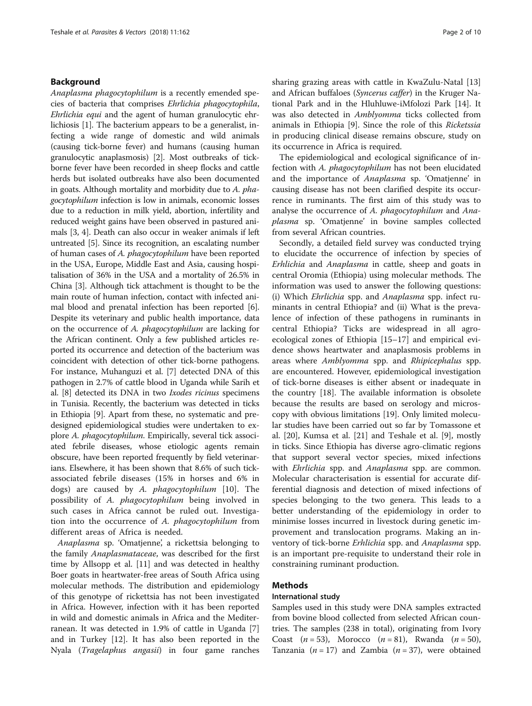## Background

Anaplasma phagocytophilum is a recently emended species of bacteria that comprises Ehrlichia phagocytophila, Ehrlichia equi and the agent of human granulocytic ehrlichiosis [[1\]](#page-8-0). The bacterium appears to be a generalist, infecting a wide range of domestic and wild animals (causing tick-borne fever) and humans (causing human granulocytic anaplasmosis) [[2](#page-8-0)]. Most outbreaks of tickborne fever have been recorded in sheep flocks and cattle herds but isolated outbreaks have also been documented in goats. Although mortality and morbidity due to A. phagocytophilum infection is low in animals, economic losses due to a reduction in milk yield, abortion, infertility and reduced weight gains have been observed in pastured animals [[3](#page-8-0), [4](#page-8-0)]. Death can also occur in weaker animals if left untreated [[5](#page-8-0)]. Since its recognition, an escalating number of human cases of A. phagocytophilum have been reported in the USA, Europe, Middle East and Asia, causing hospitalisation of 36% in the USA and a mortality of 26.5% in China [\[3](#page-8-0)]. Although tick attachment is thought to be the main route of human infection, contact with infected animal blood and prenatal infection has been reported [[6](#page-8-0)]. Despite its veterinary and public health importance, data on the occurrence of A. phagocytophilum are lacking for the African continent. Only a few published articles reported its occurrence and detection of the bacterium was coincident with detection of other tick-borne pathogens. For instance, Muhanguzi et al. [[7](#page-8-0)] detected DNA of this pathogen in 2.7% of cattle blood in Uganda while Sarih et al. [\[8](#page-8-0)] detected its DNA in two Ixodes ricinus specimens in Tunisia. Recently, the bacterium was detected in ticks in Ethiopia [[9\]](#page-8-0). Apart from these, no systematic and predesigned epidemiological studies were undertaken to explore A. phagocytophilum. Empirically, several tick associated febrile diseases, whose etiologic agents remain obscure, have been reported frequently by field veterinarians. Elsewhere, it has been shown that 8.6% of such tickassociated febrile diseases (15% in horses and 6% in dogs) are caused by A. phagocytophilum [\[10](#page-8-0)]. The possibility of A. phagocytophilum being involved in such cases in Africa cannot be ruled out. Investigation into the occurrence of A. phagocytophilum from different areas of Africa is needed.

Anaplasma sp. 'Omatjenne', a rickettsia belonging to the family Anaplasmataceae, was described for the first time by Allsopp et al. [[11](#page-8-0)] and was detected in healthy Boer goats in heartwater-free areas of South Africa using molecular methods. The distribution and epidemiology of this genotype of rickettsia has not been investigated in Africa. However, infection with it has been reported in wild and domestic animals in Africa and the Mediterranean. It was detected in 1.9% of cattle in Uganda [\[7](#page-8-0)] and in Turkey [[12\]](#page-8-0). It has also been reported in the Nyala (Tragelaphus angasii) in four game ranches sharing grazing areas with cattle in KwaZulu-Natal [[13](#page-8-0)] and African buffaloes (Syncerus caffer) in the Kruger National Park and in the Hluhluwe-iMfolozi Park [[14](#page-8-0)]. It was also detected in *Amblyomma* ticks collected from animals in Ethiopia [[9](#page-8-0)]. Since the role of this Ricketssia in producing clinical disease remains obscure, study on its occurrence in Africa is required.

The epidemiological and ecological significance of infection with A. phagocytophilum has not been elucidated and the importance of Anaplasma sp. 'Omatjenne' in causing disease has not been clarified despite its occurrence in ruminants. The first aim of this study was to analyse the occurrence of A. phagocytophilum and Anaplasma sp. 'Omatjenne' in bovine samples collected from several African countries.

Secondly, a detailed field survey was conducted trying to elucidate the occurrence of infection by species of Erhlichia and Anaplasma in cattle, sheep and goats in central Oromia (Ethiopia) using molecular methods. The information was used to answer the following questions: (i) Which Ehrlichia spp. and Anaplasma spp. infect ruminants in central Ethiopia? and (ii) What is the prevalence of infection of these pathogens in ruminants in central Ethiopia? Ticks are widespread in all agroecological zones of Ethiopia [\[15](#page-8-0)–[17](#page-8-0)] and empirical evidence shows heartwater and anaplasmosis problems in areas where Amblyomma spp. and Rhipicephalus spp. are encountered. However, epidemiological investigation of tick-borne diseases is either absent or inadequate in the country [\[18](#page-8-0)]. The available information is obsolete because the results are based on serology and microscopy with obvious limitations [[19\]](#page-8-0). Only limited molecular studies have been carried out so far by Tomassone et al. [[20\]](#page-8-0), Kumsa et al. [\[21\]](#page-8-0) and Teshale et al. [\[9](#page-8-0)], mostly in ticks. Since Ethiopia has diverse agro-climatic regions that support several vector species, mixed infections with *Ehrlichia* spp. and *Anaplasma* spp. are common. Molecular characterisation is essential for accurate differential diagnosis and detection of mixed infections of species belonging to the two genera. This leads to a better understanding of the epidemiology in order to minimise losses incurred in livestock during genetic improvement and translocation programs. Making an inventory of tick-borne Erhlichia spp. and Anaplasma spp. is an important pre-requisite to understand their role in constraining ruminant production.

## Methods

## International study

Samples used in this study were DNA samples extracted from bovine blood collected from selected African countries. The samples (238 in total), originating from Ivory Coast  $(n = 53)$ , Morocco  $(n = 81)$ , Rwanda  $(n = 50)$ , Tanzania ( $n = 17$ ) and Zambia ( $n = 37$ ), were obtained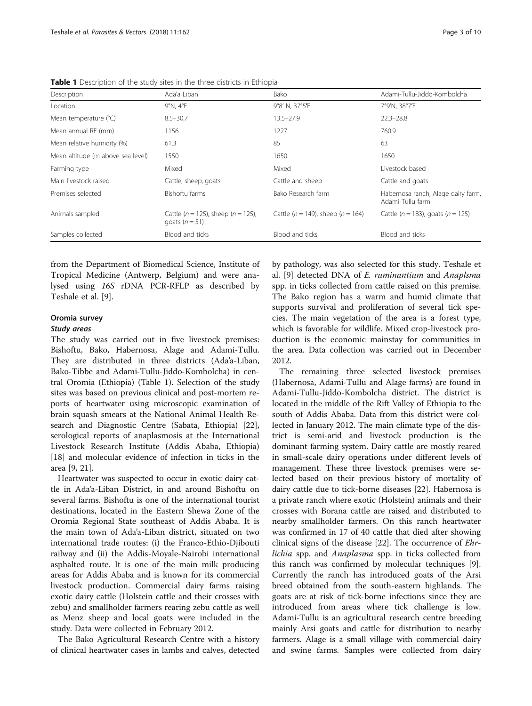| Description                       | Ada'a Liban                                                  | Bako                                      | Adami-Tullu-Jiddo-Kombolcha                            |
|-----------------------------------|--------------------------------------------------------------|-------------------------------------------|--------------------------------------------------------|
| Location                          | 9°N, 4°E                                                     | 9°8' N. 37°5'E                            | 7°9'N, 38°7'E                                          |
| Mean temperature (°C)             | $8.5 - 30.7$                                                 | $13.5 - 27.9$                             | $22.3 - 28.8$                                          |
| Mean annual RF (mm)               | 1156                                                         | 1227                                      | 760.9                                                  |
| Mean relative humidity (%)        | 61.3                                                         | 85                                        | 63                                                     |
| Mean altitude (m above sea level) | 1550                                                         | 1650                                      | 1650                                                   |
| Farming type                      | Mixed                                                        | Mixed                                     | Livestock based                                        |
| Main livestock raised             | Cattle, sheep, goats                                         | Cattle and sheep                          | Cattle and goats                                       |
| Premises selected                 | Bishoftu farms                                               | Bako Research farm                        | Habernosa ranch, Alage dairy farm,<br>Adami Tullu farm |
| Animals sampled                   | Cattle ( $n = 125$ ), sheep ( $n = 125$ ),<br>goats $(n=51)$ | Cattle ( $n = 149$ ), sheep ( $n = 164$ ) | Cattle ( $n = 183$ ), goats ( $n = 125$ )              |
| Samples collected                 | Blood and ticks                                              | Blood and ticks                           | Blood and ticks                                        |

Table 1 Description of the study sites in the three districts in Ethiopia

from the Department of Biomedical Science, Institute of Tropical Medicine (Antwerp, Belgium) and were analysed using 16S rDNA PCR-RFLP as described by Teshale et al. [[9\]](#page-8-0).

## Oromia survey

#### Study areas

The study was carried out in five livestock premises: Bishoftu, Bako, Habernosa, Alage and Adami-Tullu. They are distributed in three districts (Ada'a-Liban, Bako-Tibbe and Adami-Tullu-Jiddo-Kombolcha) in central Oromia (Ethiopia) (Table 1). Selection of the study sites was based on previous clinical and post-mortem reports of heartwater using microscopic examination of brain squash smears at the National Animal Health Research and Diagnostic Centre (Sabata, Ethiopia) [\[22](#page-8-0)], serological reports of anaplasmosis at the International Livestock Research Institute (Addis Ababa, Ethiopia) [[18\]](#page-8-0) and molecular evidence of infection in ticks in the area [[9, 21](#page-8-0)].

Heartwater was suspected to occur in exotic dairy cattle in Ada'a-Liban District, in and around Bishoftu on several farms. Bishoftu is one of the international tourist destinations, located in the Eastern Shewa Zone of the Oromia Regional State southeast of Addis Ababa. It is the main town of Ada'a-Liban district, situated on two international trade routes: (i) the Franco-Ethio-Djibouti railway and (ii) the Addis-Moyale-Nairobi international asphalted route. It is one of the main milk producing areas for Addis Ababa and is known for its commercial livestock production. Commercial dairy farms raising exotic dairy cattle (Holstein cattle and their crosses with zebu) and smallholder farmers rearing zebu cattle as well as Menz sheep and local goats were included in the study. Data were collected in February 2012.

The Bako Agricultural Research Centre with a history of clinical heartwater cases in lambs and calves, detected by pathology, was also selected for this study. Teshale et al. [[9\]](#page-8-0) detected DNA of E. ruminantium and Anaplsma spp. in ticks collected from cattle raised on this premise. The Bako region has a warm and humid climate that supports survival and proliferation of several tick species. The main vegetation of the area is a forest type, which is favorable for wildlife. Mixed crop-livestock production is the economic mainstay for communities in the area. Data collection was carried out in December 2012.

The remaining three selected livestock premises (Habernosa, Adami-Tullu and Alage farms) are found in Adami-Tullu-Jiddo-Kombolcha district. The district is located in the middle of the Rift Valley of Ethiopia to the south of Addis Ababa. Data from this district were collected in January 2012. The main climate type of the district is semi-arid and livestock production is the dominant farming system. Dairy cattle are mostly reared in small-scale dairy operations under different levels of management. These three livestock premises were selected based on their previous history of mortality of dairy cattle due to tick-borne diseases [[22\]](#page-8-0). Habernosa is a private ranch where exotic (Holstein) animals and their crosses with Borana cattle are raised and distributed to nearby smallholder farmers. On this ranch heartwater was confirmed in 17 of 40 cattle that died after showing clinical signs of the disease [[22\]](#page-8-0). The occurrence of Ehrlichia spp. and Anaplasma spp. in ticks collected from this ranch was confirmed by molecular techniques [\[9](#page-8-0)]. Currently the ranch has introduced goats of the Arsi breed obtained from the south-eastern highlands. The goats are at risk of tick-borne infections since they are introduced from areas where tick challenge is low. Adami-Tullu is an agricultural research centre breeding mainly Arsi goats and cattle for distribution to nearby farmers. Alage is a small village with commercial dairy and swine farms. Samples were collected from dairy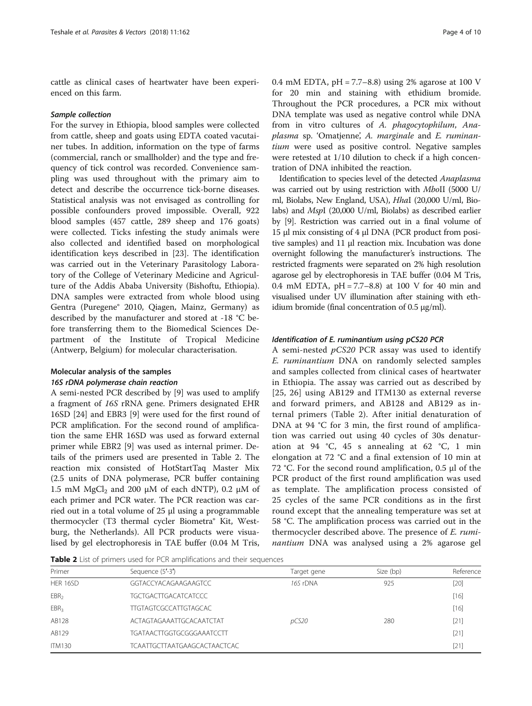cattle as clinical cases of heartwater have been experienced on this farm.

#### Sample collection

For the survey in Ethiopia, blood samples were collected from cattle, sheep and goats using EDTA coated vacutainer tubes. In addition, information on the type of farms (commercial, ranch or smallholder) and the type and frequency of tick control was recorded. Convenience sampling was used throughout with the primary aim to detect and describe the occurrence tick-borne diseases. Statistical analysis was not envisaged as controlling for possible confounders proved impossible. Overall, 922 blood samples (457 cattle, 289 sheep and 176 goats) were collected. Ticks infesting the study animals were also collected and identified based on morphological identification keys described in [\[23](#page-8-0)]. The identification was carried out in the Veterinary Parasitology Laboratory of the College of Veterinary Medicine and Agriculture of the Addis Ababa University (Bishoftu, Ethiopia). DNA samples were extracted from whole blood using Gentra (Puregene® 2010, Qiagen, Mainz, Germany) as described by the manufacturer and stored at -18 °C before transferring them to the Biomedical Sciences Department of the Institute of Tropical Medicine (Antwerp, Belgium) for molecular characterisation.

## Molecular analysis of the samples 16S rDNA polymerase chain reaction

A semi-nested PCR described by [[9\]](#page-8-0) was used to amplify a fragment of 16S rRNA gene. Primers designated EHR 16SD [\[24\]](#page-8-0) and EBR3 [\[9](#page-8-0)] were used for the first round of PCR amplification. For the second round of amplification the same EHR 16SD was used as forward external primer while EBR2 [\[9](#page-8-0)] was used as internal primer. Details of the primers used are presented in Table 2. The reaction mix consisted of HotStartTaq Master Mix (2.5 units of DNA polymerase, PCR buffer containing 1.5 mM MgCl<sub>2</sub> and 200 μM of each dNTP), 0.2 μM of each primer and PCR water. The PCR reaction was carried out in a total volume of 25 μl using a programmable thermocycler (T3 thermal cycler Biometra® Kit, Westburg, the Netherlands). All PCR products were visualised by gel electrophoresis in TAE buffer (0.04 M Tris,

0.4 mM EDTA, pH = 7.7–8.8) using 2% agarose at 100 V for 20 min and staining with ethidium bromide. Throughout the PCR procedures, a PCR mix without DNA template was used as negative control while DNA from in vitro cultures of A. phagocytophilum, Anaplasma sp. 'Omatjenne', A. marginale and E. ruminantium were used as positive control. Negative samples were retested at 1/10 dilution to check if a high concentration of DNA inhibited the reaction.

Identification to species level of the detected Anaplasma was carried out by using restriction with MboII (5000 U/ ml, Biolabs, New England, USA), HhaI (20,000 U/ml, Biolabs) and MspI (20,000 U/ml, Biolabs) as described earlier by [[9\]](#page-8-0). Restriction was carried out in a final volume of 15 μl mix consisting of 4 μl DNA (PCR product from positive samples) and 11 μl reaction mix. Incubation was done overnight following the manufacturer's instructions. The restricted fragments were separated on 2% high resolution agarose gel by electrophoresis in TAE buffer (0.04 M Tris, 0.4 mM EDTA, pH = 7.7–8.8) at 100 V for 40 min and visualised under UV illumination after staining with ethidium bromide (final concentration of 0.5 μg/ml).

## Identification of E. ruminantium using pCS20 PCR

A semi-nested  $pCS20$  PCR assay was used to identify E. ruminantium DNA on randomly selected samples and samples collected from clinical cases of heartwater in Ethiopia. The assay was carried out as described by [[25](#page-8-0), [26](#page-8-0)] using AB129 and ITM130 as external reverse and forward primers, and AB128 and AB129 as internal primers (Table 2). After initial denaturation of DNA at 94 °C for 3 min, the first round of amplification was carried out using 40 cycles of 30s denaturation at 94 °C, 45 s annealing at 62 °C, 1 min elongation at 72 °C and a final extension of 10 min at 72 °C. For the second round amplification, 0.5 μl of the PCR product of the first round amplification was used as template. The amplification process consisted of 25 cycles of the same PCR conditions as in the first round except that the annealing temperature was set at 58 °C. The amplification process was carried out in the thermocycler described above. The presence of E. ruminantium DNA was analysed using a 2% agarose gel

Table 2 List of primers used for PCR amplifications and their sequences

| Primer           | Sequence (5'-3')                    | Target gene | Size (bp) | Reference |
|------------------|-------------------------------------|-------------|-----------|-----------|
| HER 16SD         | GGTACCYACAGAAGAAGTCC                | 16S rDNA    | 925       | $[20]$    |
| EBR <sub>2</sub> | TGCTGACTTGACATCATCCC                |             |           | [16]      |
| EBR <sub>3</sub> | <b>TTGTAGTCGCCATTGTAGCAC</b>        |             |           | [16]      |
| AB128            | ACTAGTAGAAATTGCACAATCTAT            | pCS20       | 280       | $[21]$    |
| AB129            | TGATAACTTGGTGCGGGAAATCCTT           |             |           | $[21]$    |
| <b>ITM130</b>    | <b>TCAATTGCTTAATGAAGCACTAACTCAC</b> |             |           | $[21]$    |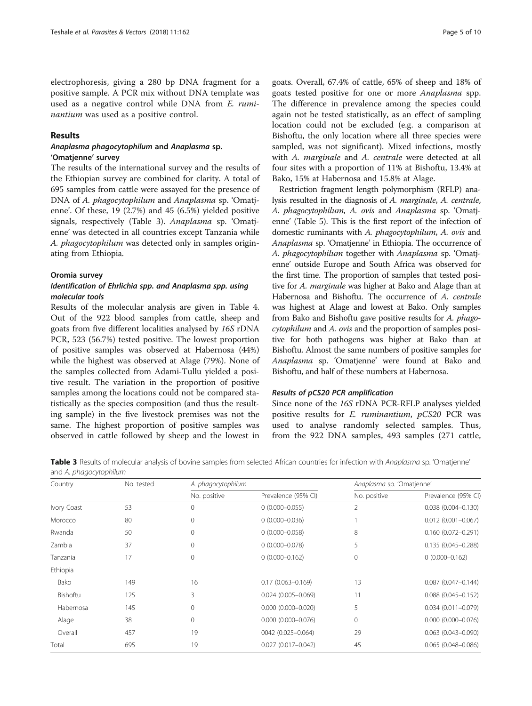<span id="page-4-0"></span>electrophoresis, giving a 280 bp DNA fragment for a positive sample. A PCR mix without DNA template was used as a negative control while DNA from E. ruminantium was used as a positive control.

## Results

## Anaplasma phagocytophilum and Anaplasma sp. 'Omatjenne' survey

The results of the international survey and the results of the Ethiopian survey are combined for clarity. A total of 695 samples from cattle were assayed for the presence of DNA of A. phagocytophilum and Anaplasma sp. 'Omatjenne'. Of these, 19 (2.7%) and 45 (6.5%) yielded positive signals, respectively (Table 3). Anaplasma sp. 'Omatjenne' was detected in all countries except Tanzania while A. phagocytophilum was detected only in samples originating from Ethiopia.

#### Oromia survey

## Identification of Ehrlichia spp. and Anaplasma spp. using molecular tools

Results of the molecular analysis are given in Table [4](#page-5-0). Out of the 922 blood samples from cattle, sheep and goats from five different localities analysed by 16S rDNA PCR, 523 (56.7%) tested positive. The lowest proportion of positive samples was observed at Habernosa (44%) while the highest was observed at Alage (79%). None of the samples collected from Adami-Tullu yielded a positive result. The variation in the proportion of positive samples among the locations could not be compared statistically as the species composition (and thus the resulting sample) in the five livestock premises was not the same. The highest proportion of positive samples was observed in cattle followed by sheep and the lowest in goats. Overall, 67.4% of cattle, 65% of sheep and 18% of goats tested positive for one or more Anaplasma spp. The difference in prevalence among the species could again not be tested statistically, as an effect of sampling location could not be excluded (e.g. a comparison at Bishoftu, the only location where all three species were sampled, was not significant). Mixed infections, mostly with A. *marginale* and A. *centrale* were detected at all four sites with a proportion of 11% at Bishoftu, 13.4% at Bako, 15% at Habernosa and 15.8% at Alage.

Restriction fragment length polymorphism (RFLP) analysis resulted in the diagnosis of A. marginale, A. centrale, A. phagocytophilum, A. ovis and Anaplasma sp. 'Omatjenne' (Table [5](#page-5-0)). This is the first report of the infection of domestic ruminants with A. phagocytophilum, A. ovis and Anaplasma sp. 'Omatjenne' in Ethiopia. The occurrence of A. phagocytophilum together with Anaplasma sp. 'Omatjenne' outside Europe and South Africa was observed for the first time. The proportion of samples that tested positive for A. marginale was higher at Bako and Alage than at Habernosa and Bishoftu. The occurrence of A. centrale was highest at Alage and lowest at Bako. Only samples from Bako and Bishoftu gave positive results for A. phagocytophilum and A. ovis and the proportion of samples positive for both pathogens was higher at Bako than at Bishoftu. Almost the same numbers of positive samples for Anaplasma sp. 'Omatjenne' were found at Bako and Bishoftu, and half of these numbers at Habernosa.

#### Results of pCS20 PCR amplification

Since none of the 16S rDNA PCR-RFLP analyses yielded positive results for E. ruminantium, pCS20 PCR was used to analyse randomly selected samples. Thus, from the 922 DNA samples, 493 samples (271 cattle,

Table 3 Results of molecular analysis of bovine samples from selected African countries for infection with Anaplasma sp. 'Omatjenne' and A. phagocytophilum

| Country     | No. tested |              | A. phagocytophilum     |              | Anaplasma sp. 'Omatjenne' |  |
|-------------|------------|--------------|------------------------|--------------|---------------------------|--|
|             |            | No. positive | Prevalence (95% CI)    | No. positive | Prevalence (95% CI)       |  |
| Ivory Coast | 53         | $\Omega$     | $0(0.000 - 0.055)$     | 2            | $0.038(0.004 - 0.130)$    |  |
| Morocco     | 80         | $\mathbf{0}$ | $0(0.000 - 0.036)$     |              | $0.012$ (0.001-0.067)     |  |
| Rwanda      | 50         | $\mathbf 0$  | $0(0.000 - 0.058)$     | 8            | $0.160(0.072 - 0.291)$    |  |
| Zambia      | 37         | $\mathbf{0}$ | $0(0.000 - 0.078)$     | 5            | $0.135(0.045 - 0.288)$    |  |
| Tanzania    | 17         | $\mathbf{0}$ | $0(0.000 - 0.162)$     | 0            | $0(0.000 - 0.162)$        |  |
| Ethiopia    |            |              |                        |              |                           |  |
| Bako        | 149        | 16           | $0.17(0.063 - 0.169)$  | 13           | $0.087(0.047 - 0.144)$    |  |
| Bishoftu    | 125        | 3            | $0.024(0.005 - 0.069)$ | 11           | $0.088$ (0.045-0.152)     |  |
| Habernosa   | 145        | $\mathbf{0}$ | $0.000(0.000 - 0.020)$ | 5            | $0.034(0.011 - 0.079)$    |  |
| Alage       | 38         | $\mathbf{0}$ | $0.000$ (0.000-0.076)  | 0            | $0.000$ (0.000-0.076)     |  |
| Overall     | 457        | 19           | 0042 (0.025-0.064)     | 29           | $0.063$ (0.043-0.090)     |  |
| Total       | 695        | 19           | $0.027(0.017 - 0.042)$ | 45           | $0.065$ (0.048-0.086)     |  |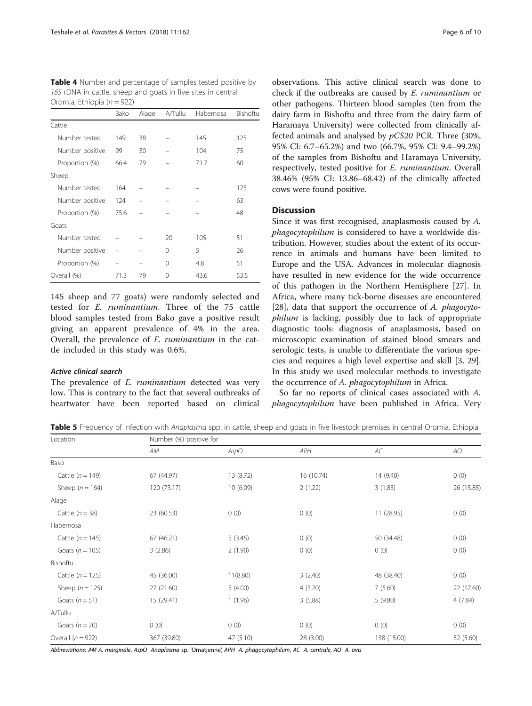<span id="page-5-0"></span>Table 4 Number and percentage of samples tested positive by 16S rDNA in cattle, sheep and goats in five sites in central Oromia, Ethiopia ( $n = 922$ )

|                 | Bako | Alage | A/Tullu | Habernosa | Bishoftu |
|-----------------|------|-------|---------|-----------|----------|
| Cattle          |      |       |         |           |          |
| Number tested   | 149  | 38    |         | 145       | 125      |
| Number positive | 99   | 30    |         | 104       | 75       |
| Proportion (%)  | 66.4 | 79    |         | 71.7      | 60       |
| Sheep           |      |       |         |           |          |
| Number tested   | 164  |       |         |           | 125      |
| Number positive | 124  |       |         |           | 63       |
| Proportion (%)  | 75.6 |       |         |           | 48       |
| Goats           |      |       |         |           |          |
| Number tested   |      |       | 20      | 105       | 51       |
| Number positive |      |       | 0       | 5         | 26       |
| Proportion (%)  |      |       | 0       | 4.8       | 51       |
| Overall (%)     | 71.3 | 79    | 0       | 43.6      | 53.5     |

145 sheep and 77 goats) were randomly selected and tested for E. ruminantium. Three of the 75 cattle blood samples tested from Bako gave a positive result giving an apparent prevalence of 4% in the area. Overall, the prevalence of E. ruminantium in the cattle included in this study was 0.6%.

#### Active clinical search

The prevalence of E. ruminantium detected was very low. This is contrary to the fact that several outbreaks of heartwater have been reported based on clinical

observations. This active clinical search was done to check if the outbreaks are caused by E. ruminantium or other pathogens. Thirteen blood samples (ten from the dairy farm in Bishoftu and three from the dairy farm of Haramaya University) were collected from clinically affected animals and analysed by pCS20 PCR. Three (30%, 95% CI: 6.7–65.2%) and two (66.7%, 95% CI: 9.4–99.2%) of the samples from Bishoftu and Haramaya University, respectively, tested positive for E. ruminantium. Overall 38.46% (95% CI: 13.86–68.42) of the clinically affected cows were found positive.

## **Discussion**

Since it was first recognised, anaplasmosis caused by A. phagocytophilum is considered to have a worldwide distribution. However, studies about the extent of its occurrence in animals and humans have been limited to Europe and the USA. Advances in molecular diagnosis have resulted in new evidence for the wide occurrence of this pathogen in the Northern Hemisphere [\[27\]](#page-8-0). In Africa, where many tick-borne diseases are encountered [[28\]](#page-8-0), data that support the occurrence of A. phagocytophilum is lacking, possibly due to lack of appropriate diagnostic tools: diagnosis of anaplasmosis, based on microscopic examination of stained blood smears and serologic tests, is unable to differentiate the various species and requires a high level expertise and skill [[3, 29](#page-8-0)]. In this study we used molecular methods to investigate the occurrence of A. phagocytophilum in Africa.

So far no reports of clinical cases associated with A. phagocytophilum have been published in Africa. Very

Table 5 Frequency of infection with Anaplasma spp. in cattle, sheep and goats in five livestock premises in central Oromia, Ethiopia

| Location             | Number (%) positive for |           |            |             |            |  |  |
|----------------------|-------------------------|-----------|------------|-------------|------------|--|--|
|                      | АM                      | AspO      | APH        | AC          | AO         |  |  |
| Bako                 |                         |           |            |             |            |  |  |
| Cattle $(n = 149)$   | 67 (44.97)              | 13 (8.72) | 16 (10.74) | 14 (9.40)   | 0(0)       |  |  |
| Sheep ( $n = 164$ )  | 120 (73.17)             | 10(6.09)  | 2(1.22)    | 3(1.83)     | 26 (15.85) |  |  |
| Alage                |                         |           |            |             |            |  |  |
| Cattle $(n = 38)$    | 23 (60.53)              | 0(0)      | 0(0)       | 11 (28.95)  | 0(0)       |  |  |
| Habernosa            |                         |           |            |             |            |  |  |
| Cattle $(n = 145)$   | 67 (46.21)              | 5(3.45)   | 0(0)       | 50 (34.48)  | 0(0)       |  |  |
| Goats ( $n = 105$ )  | 3(2.86)                 | 2(1.90)   | 0(0)       | 0(0)        | 0(0)       |  |  |
| Bishoftu             |                         |           |            |             |            |  |  |
| Cattle ( $n = 125$ ) | 45 (36.00)              | 11(8.80)  | 3(2.40)    | 48 (38.40)  | 0(0)       |  |  |
| Sheep ( $n = 125$ )  | 27 (21.60)              | 5(4.00)   | 4(3.20)    | 7(5.60)     | 22 (17.60) |  |  |
| Goats $(n = 51)$     | 15 (29.41)              | 1(1.96)   | 3(5.88)    | 5(9.80)     | 4(7.84)    |  |  |
| A/Tullu              |                         |           |            |             |            |  |  |
| Goats $(n = 20)$     | 0(0)                    | 0(0)      | 0(0)       | 0(0)        | 0(0)       |  |  |
| Overall $(n = 922)$  | 367 (39.80)             | 47 (5.10) | 28 (3.00)  | 138 (15.00) | 52 (5.60)  |  |  |

Abbreviations: AM A. marginale, AspO Anaplasma sp. 'Omatjenne', APH A. phagocytophilum, AC A. centrale, AO A. ovis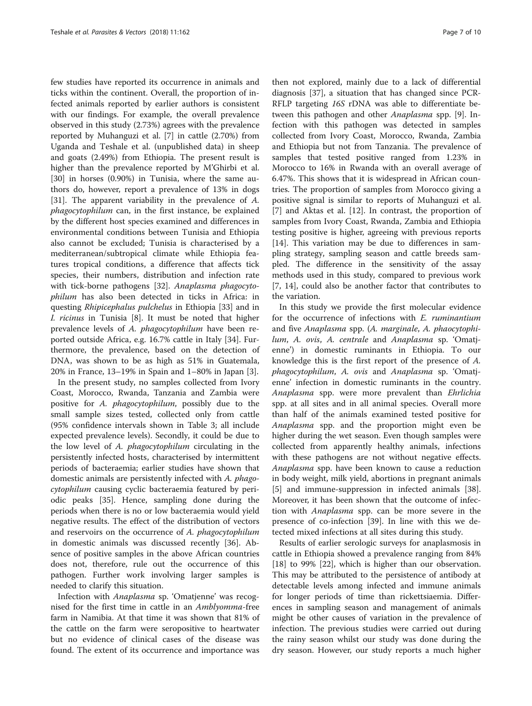few studies have reported its occurrence in animals and ticks within the continent. Overall, the proportion of infected animals reported by earlier authors is consistent with our findings. For example, the overall prevalence observed in this study (2.73%) agrees with the prevalence reported by Muhanguzi et al. [[7\]](#page-8-0) in cattle (2.70%) from Uganda and Teshale et al. (unpublished data) in sheep and goats (2.49%) from Ethiopia. The present result is higher than the prevalence reported by M'Ghirbi et al. [[30\]](#page-8-0) in horses (0.90%) in Tunisia, where the same authors do, however, report a prevalence of 13% in dogs [[31\]](#page-8-0). The apparent variability in the prevalence of A. phagocytophilum can, in the first instance, be explained by the different host species examined and differences in environmental conditions between Tunisia and Ethiopia also cannot be excluded; Tunisia is characterised by a mediterranean/subtropical climate while Ethiopia features tropical conditions, a difference that affects tick species, their numbers, distribution and infection rate with tick-borne pathogens [\[32](#page-8-0)]. Anaplasma phagocytophilum has also been detected in ticks in Africa: in questing Rhipicephalus pulchelus in Ethiopia [[33\]](#page-9-0) and in I. ricinus in Tunisia [\[8](#page-8-0)]. It must be noted that higher prevalence levels of A. phagocytophilum have been reported outside Africa, e.g. 16.7% cattle in Italy [[34](#page-9-0)]. Furthermore, the prevalence, based on the detection of DNA, was shown to be as high as 51% in Guatemala, 20% in France, 13–19% in Spain and 1–80% in Japan [\[3](#page-8-0)].

In the present study, no samples collected from Ivory Coast, Morocco, Rwanda, Tanzania and Zambia were positive for A. phagocytophilum, possibly due to the small sample sizes tested, collected only from cattle (95% confidence intervals shown in Table [3;](#page-4-0) all include expected prevalence levels). Secondly, it could be due to the low level of A. phagocytophilum circulating in the persistently infected hosts, characterised by intermittent periods of bacteraemia; earlier studies have shown that domestic animals are persistently infected with A. phagocytophilum causing cyclic bacteraemia featured by periodic peaks [\[35](#page-9-0)]. Hence, sampling done during the periods when there is no or low bacteraemia would yield negative results. The effect of the distribution of vectors and reservoirs on the occurrence of A. phagocytophilum in domestic animals was discussed recently [\[36](#page-9-0)]. Absence of positive samples in the above African countries does not, therefore, rule out the occurrence of this pathogen. Further work involving larger samples is needed to clarify this situation.

Infection with Anaplasma sp. 'Omatjenne' was recognised for the first time in cattle in an Amblyomma-free farm in Namibia. At that time it was shown that 81% of the cattle on the farm were seropositive to heartwater but no evidence of clinical cases of the disease was found. The extent of its occurrence and importance was

then not explored, mainly due to a lack of differential diagnosis [\[37](#page-9-0)], a situation that has changed since PCR-RFLP targeting 16S rDNA was able to differentiate between this pathogen and other *Anaplasma* spp. [\[9](#page-8-0)]. Infection with this pathogen was detected in samples collected from Ivory Coast, Morocco, Rwanda, Zambia and Ethiopia but not from Tanzania. The prevalence of samples that tested positive ranged from 1.23% in Morocco to 16% in Rwanda with an overall average of 6.47%. This shows that it is widespread in African countries. The proportion of samples from Morocco giving a positive signal is similar to reports of Muhanguzi et al. [[7\]](#page-8-0) and Aktas et al. [\[12\]](#page-8-0). In contrast, the proportion of samples from Ivory Coast, Rwanda, Zambia and Ethiopia testing positive is higher, agreeing with previous reports [[14\]](#page-8-0). This variation may be due to differences in sampling strategy, sampling season and cattle breeds sampled. The difference in the sensitivity of the assay methods used in this study, compared to previous work [[7, 14\]](#page-8-0), could also be another factor that contributes to the variation.

In this study we provide the first molecular evidence for the occurrence of infections with E. ruminantium and five Anaplasma spp. (A. marginale, A. phaocytophilum, A. ovis, A. centrale and Anaplasma sp. 'Omatjenne') in domestic ruminants in Ethiopia. To our knowledge this is the first report of the presence of A. phagocytophilum, A. ovis and Anaplasma sp. 'Omatjenne' infection in domestic ruminants in the country. Anaplasma spp. were more prevalent than Ehrlichia spp. at all sites and in all animal species. Overall more than half of the animals examined tested positive for Anaplasma spp. and the proportion might even be higher during the wet season. Even though samples were collected from apparently healthy animals, infections with these pathogens are not without negative effects. Anaplasma spp. have been known to cause a reduction in body weight, milk yield, abortions in pregnant animals [[5\]](#page-8-0) and immune-suppression in infected animals [\[38](#page-9-0)]. Moreover, it has been shown that the outcome of infection with Anaplasma spp. can be more severe in the presence of co-infection [[39](#page-9-0)]. In line with this we detected mixed infections at all sites during this study.

Results of earlier serologic surveys for anaplasmosis in cattle in Ethiopia showed a prevalence ranging from 84% [[18\]](#page-8-0) to 99% [[22\]](#page-8-0), which is higher than our observation. This may be attributed to the persistence of antibody at detectable levels among infected and immune animals for longer periods of time than rickettsiaemia. Differences in sampling season and management of animals might be other causes of variation in the prevalence of infection. The previous studies were carried out during the rainy season whilst our study was done during the dry season. However, our study reports a much higher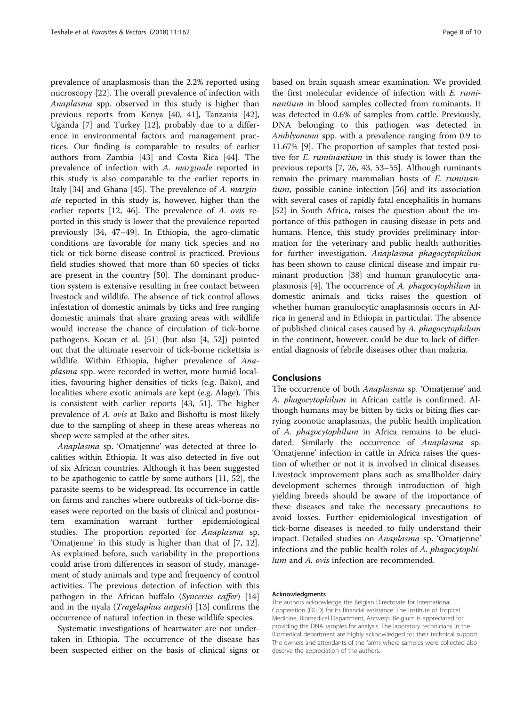prevalence of anaplasmosis than the 2.2% reported using microscopy [[22](#page-8-0)]. The overall prevalence of infection with Anaplasma spp. observed in this study is higher than previous reports from Kenya [[40, 41](#page-9-0)], Tanzania [\[42](#page-9-0)], Uganda [[7](#page-8-0)] and Turkey [[12\]](#page-8-0), probably due to a difference in environmental factors and management practices. Our finding is comparable to results of earlier authors from Zambia [[43\]](#page-9-0) and Costa Rica [\[44](#page-9-0)]. The prevalence of infection with A. marginale reported in this study is also comparable to the earlier reports in Italy [\[34\]](#page-9-0) and Ghana [\[45](#page-9-0)]. The prevalence of A. marginale reported in this study is, however, higher than the earlier reports [[12,](#page-8-0) [46\]](#page-9-0). The prevalence of A. ovis reported in this study is lower that the prevalence reported previously [\[34](#page-9-0), [47](#page-9-0)–[49\]](#page-9-0). In Ethiopia, the agro-climatic conditions are favorable for many tick species and no tick or tick-borne disease control is practiced. Previous field studies showed that more than 60 species of ticks are present in the country [\[50\]](#page-9-0). The dominant production system is extensive resulting in free contact between livestock and wildlife. The absence of tick control allows infestation of domestic animals by ticks and free ranging domestic animals that share grazing areas with wildlife would increase the chance of circulation of tick-borne pathogens. Kocan et al. [\[51](#page-9-0)] (but also [\[4,](#page-8-0) [52\]](#page-9-0)) pointed out that the ultimate reservoir of tick-borne rickettsia is wildlife. Within Ethiopia, higher prevalence of Anaplasma spp. were recorded in wetter, more humid localities, favouring higher densities of ticks (e.g. Bako), and localities where exotic animals are kept (e.g. Alage). This is consistent with earlier reports [[43, 51\]](#page-9-0). The higher prevalence of A. ovis at Bako and Bishoftu is most likely due to the sampling of sheep in these areas whereas no sheep were sampled at the other sites.

Anaplasma sp. 'Omatjenne' was detected at three localities within Ethiopia. It was also detected in five out of six African countries. Although it has been suggested to be apathogenic to cattle by some authors [\[11](#page-8-0), [52](#page-9-0)], the parasite seems to be widespread. Its occurrence in cattle on farms and ranches where outbreaks of tick-borne diseases were reported on the basis of clinical and postmortem examination warrant further epidemiological studies. The proportion reported for Anaplasma sp. 'Omatjenne' in this study is higher than that of [\[7](#page-8-0), [12](#page-8-0)]. As explained before, such variability in the proportions could arise from differences in season of study, management of study animals and type and frequency of control activities. The previous detection of infection with this pathogen in the African buffalo (Syncerus caffer) [[14](#page-8-0)] and in the nyala (Tragelaphus angasii) [\[13\]](#page-8-0) confirms the occurrence of natural infection in these wildlife species.

Systematic investigations of heartwater are not undertaken in Ethiopia. The occurrence of the disease has been suspected either on the basis of clinical signs or

based on brain squash smear examination. We provided the first molecular evidence of infection with E. ruminantium in blood samples collected from ruminants. It was detected in 0.6% of samples from cattle. Previously, DNA belonging to this pathogen was detected in Amblyomma spp. with a prevalence ranging from 0.9 to 11.67% [\[9](#page-8-0)]. The proportion of samples that tested positive for E. ruminantium in this study is lower than the previous reports [[7, 26](#page-8-0), [43, 53](#page-9-0)–[55\]](#page-9-0). Although ruminants remain the primary mammalian hosts of E. ruminantium, possible canine infection [[56](#page-9-0)] and its association with several cases of rapidly fatal encephalitis in humans [[52\]](#page-9-0) in South Africa, raises the question about the importance of this pathogen in causing disease in pets and humans. Hence, this study provides preliminary information for the veterinary and public health authorities for further investigation. Anaplasma phagocytophilum has been shown to cause clinical disease and impair ruminant production [[38\]](#page-9-0) and human granulocytic anaplasmosis [[4\]](#page-8-0). The occurrence of A. phagocytophilum in domestic animals and ticks raises the question of whether human granulocytic anaplasmosis occurs in Africa in general and in Ethiopia in particular. The absence of published clinical cases caused by A. phagocytophilum in the continent, however, could be due to lack of differential diagnosis of febrile diseases other than malaria.

#### Conclusions

The occurrence of both Anaplasma sp. 'Omatjenne' and A. phagocytophilum in African cattle is confirmed. Although humans may be bitten by ticks or biting flies carrying zoonotic anaplasmas, the public health implication of A. phagocytophilum in Africa remains to be elucidated. Similarly the occurrence of Anaplasma sp. 'Omatjenne' infection in cattle in Africa raises the question of whether or not it is involved in clinical diseases. Livestock improvement plans such as smallholder dairy development schemes through introduction of high yielding breeds should be aware of the importance of these diseases and take the necessary precautions to avoid losses. Further epidemiological investigation of tick-borne diseases is needed to fully understand their impact. Detailed studies on Anaplasma sp. 'Omatjenne' infections and the public health roles of A. phagocytophilum and A. ovis infection are recommended.

#### Acknowledgments

The authors acknowledge the Belgian Directorate for International Cooperation (DGD) for its financial assistance. The Institute of Tropical Medicine, Biomedical Department, Antwerp, Belgium is appreciated for providing the DNA samples for analysis. The laboratory technicians in the Biomedical department are highly acknowledged for their technical support. The owners and attendants of the farms where samples were collected also deserve the appreciation of the authors.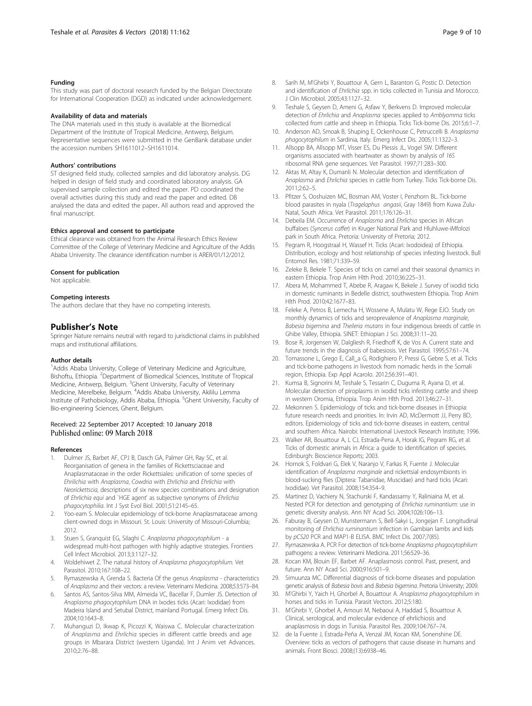## <span id="page-8-0"></span>Funding

This study was part of doctoral research funded by the Belgian Directorate for International Cooperation (DGD) as indicated under acknowledgement.

## Availability of data and materials

The DNA materials used in this study is available at the Biomedical Department of the Institute of Tropical Medicine, Antwerp, Belgium. Representative sequences were submitted in the GenBank database under the accession numbers SH1611012–SH1611014.

#### Authors' contributions

ST designed field study, collected samples and did laboratory analysis. DG helped in design of field study and coordinated laboratory analysis. GA supervised sample collection and edited the paper. PD coordinated the overall activities during this study and read the paper and edited. DB analysed the data and edited the paper. All authors read and approved the final manuscript.

#### Ethics approval and consent to participate

Ethical clearance was obtained from the Animal Research Ethics Review Committee of the College of Veterinary Medicine and Agriculture of the Addis Ababa University. The clearance identification number is ARER/01/12/2012.

#### Consent for publication

Not applicable.

#### Competing interests

The authors declare that they have no competing interests.

## Publisher's Note

Springer Nature remains neutral with regard to jurisdictional claims in published maps and institutional affiliations.

#### Author details

<sup>1</sup> Addis Ababa University, College of Veterinary Medicine and Agriculture, Bishoftu, Ethiopia. <sup>2</sup>Department of Biomedical Sciences, Institute of Tropical Medicine, Antwerp, Belgium. <sup>3</sup>Ghent University, Faculty of Veterinary Medicine, Merelbeke, Belgium. <sup>4</sup>Addis Ababa University, Akililu Lemma Institute of Pathobiology, Addis Ababa, Ethiopia. <sup>5</sup>Ghent University, Faculty of Bio-engineering Sciences, Ghent, Belgium.

# Received: 22 September 2017 Accepted: 10 January 2018<br>Published online: 09 March 2018

#### References

- 1. Dulmer JS, Barbet AF, CPJ B, Dasch GA, Palmer GH, Ray SC, et al. Reorganisation of genera in the families of Rickettsciaceae and Anaplasmataceae in the order Rickettsiales: unification of some species of Ehrilichia with Anaplasma, Cowdria with Ehrlichia and Ehrlichia with Neorickettscia, descriptions of six new species combinations and designation of Ehrlichia equi and `HGE agent' as subjective synonyms of Ehrlichia phagocytophilia. Int J Syst Evol Biol. 2001;51:2145–65.
- 2. Yoo-eam S. Molecular epidemiology of tick-borne Anaplasmataceae among client-owned dogs in Missouri. St. Louis: University of Missouri-Columbia; 2012.
- 3. Stuen S, Granquist EG, Silaghi C. Anaplasma phagocytophilum a widespread multi-host pathogen with highly adaptive strategies. Frontiers Cell Infect Microbiol. 2013;3:1127–32.
- 4. Woldehiwet Z. The natural history of Anaplasma phagocytophilum. Vet Parasitol. 2010;167:108–22.
- Rymaszewska A, Grenda S. Bacteria Of the genus Anaplasma characteristics of Anaplasma and their vectors: a review. Veterinarni Medicina. 2008;53:573–84.
- 6. Santos AS, Santos-Silva MM, Almeida VC, Bacellar F, Dumler JS. Detection of Anaplasma phagocytophilum DNA in Ixodes ticks (Acari: Ixodidae) from Madeira Island and Setubal District, mainland Portugal. Emerg Infect Dis. 2004;10:1643–8.
- 7. Muhanguzi D, Ikwap K, Picozzi K, Waiswa C. Molecular characterization of Anaplasma and Ehrlichia species in different cattle breeds and age groups in Mbarara District (western Uganda). Int J Anim vet Advances. 2010;2:76–88.
- 8. Sarih M, M'Ghirbi Y, Bouattour A, Gern L, Baranton G, Postic D. Detection and identification of Ehrlichia spp. in ticks collected in Tunisia and Morocco. J Clin Microbiol. 2005;43:1127–32.
- Teshale S, Geysen D, Ameni G, Asfaw Y, Berkvens D. Improved molecular detection of Ehrlichia and Anaplasma species applied to Amblyomma ticks collected from cattle and sheep in Ethiopia. Ticks Tick-borne Dis. 2015;6:1–7.
- 10. Anderson AD, Smoak B, Shuping E, Ockenhouse C, Petruccelli B. Anaplasma phagocytophilum in Sardinia, Italy. Emerg Infect Dis. 2005;11:1322–3.
- 11. Allsopp BA, Allsopp MT, Visser ES, Du Plessis JL, Vogel SW. Different organisms associated with heartwater as shown by analysis of 16S ribosomal RNA gene sequences. Vet Parasitol. 1997;71:283–300.
- 12. Aktas M, Altay K, Dumanli N. Molecular detection and identification of Anaplasma and Ehrlichia species in cattle from Turkey. Ticks Tick-borne Dis. 2011;2:62–5.
- 13. Pfitzer S, Ooshuizen MC, Bosman AM, Voster I, Penzhorn BL. Tick-borne blood parasites in nyala (Tragelaphus angasii, Gray 1849) from Kuwa Zulu-Natal, South Africa. Vet Parasitol. 2011;176:126–31.
- 14. Debeila EM. Occurrence of Anaplasma and Ehrlichia species in African buffaloes (Syncerus caffer) in Kruger National Park and Hluhluwe-iMfolozi park in South Africa. Pretoria: University of Pretoria; 2012.
- 15. Pegram R, Hoogstraal H, Wassef H. Ticks (Acari: Ixodoidea) of Ethiopia. Distribution, ecology and host relationship of species infesting livestock. Bull Entomol Res. 1981;71:339–59.
- 16. Zeleke B, Bekele T. Species of ticks on camel and their seasonal dynamics in eastern Ethiopia. Trop Anim Hlth Prod. 2010;36:225–31.
- 17. Abera M, Mohammed T, Abebe R, Aragaw K, Bekele J. Survey of ixodid ticks in domestic ruminants in Bedelle district, southwestern Ethiopia. Trop Anim Hlth Prod. 2010;42:1677–83.
- 18. Feleke A, Petros B, Lemecha H, Wossene A, Mulatu W, Rege EJO. Study on monthly dynamics of ticks and seroprevalence of Anaplasma marginale, Babesia bigemina and Theileria mutans in four indigenous breeds of cattle in Ghibe Valley, Ethiopia. SINET: Ethiopian J Sci. 2008;31:11–20.
- 19. Bose R, Jorgensen W, Dalgliesh R, Friedhoff K, de Vos A. Current state and future trends in the diagnosis of babesiosis. Vet Parasitol. 1995;57:61–74.
- 20. Tomassone L, Grego E, Call a G, Rodighiero P, Pressi G, Gebre S, et al. Ticks and tick-borne pathogens in livestock from nomadic herds in the Somali region, Ethiopia. Exp Appl Acarolo. 2012;56:391–401.
- 21. Kumsa B, Signorini M, Teshale S, Tessarin C, Duguma R, Ayana D, et al. Molecular detection of piroplasms in ixodid ticks infesting cattle and sheep in western Oromia, Ethiopia. Trop Anim Hlth Prod. 2013;46:27–31.
- 22. Mekonnen S. Epidemiology of ticks and tick-borne diseases in Ethiopia: future research needs and priorities. In: Irvin AD, McDermott JJ, Perry BD, editors. Epidemiology of ticks and tick-borne diseases in eastern, central and southern Africa. Nairobi: International Livestock Research Institute; 1996.
- 23. Walker AR, Bouattour A, L CJ, Estrada-Pena A, Horak IG, Pegram RG, et al. Ticks of domestic animals in Africa: a guide to identification of species. Edinburgh: Bioscience Reports; 2003.
- 24. Hornok S, Foldvari G, Elek V, Naranjo V, Farkas R, Fuente J. Molecular identification of Anaplasma marginale and rickettsial endosymbionts in blood-sucking flies (Diptera: Tabanidae, Muscidae) and hard ticks (Acari: Ixodidae). Vet Parasitol. 2008;154:354–9.
- 25. Martinez D, Vachiery N, Stachurski F, Kandassamy Y, Raliniaina M, et al. Nested PCR for detection and genotyping of Ehrlichia ruminantium: use in genetic diversity analysis. Ann NY Acad Sci. 2004;1026:106–13.
- 26. Faburay B, Geysen D, Munstermann S, Bell-Sakyi L, Jongejan F. Longitudinal monitoring of Ehrlichia ruminantium infection in Gambian lambs and kids by pCS20 PCR and MAP1-B ELISA. BMC Infect Dis. 2007;7(85).
- 27. Rymaszewska A. PCR For detection of tick-borne Anaplasma phagocytophilum pathogens: a review. Veterinarni Medicina. 2011;56:529–36.
- 28. Kocan KM, Blouin EF, Barbet AF. Anaplasmosis control. Past, present, and future. Ann NY Acad Sci. 2000;916:501–9.
- 29. Simuunza MC. Differential diagnosis of tick-borne diseases and population genetic analysis of Babesia bovis and Babesia bigemina. Pretoria University; 2009.
- 30. M'Ghirbi Y, Yaich H, Ghorbel A, Bouattour A. Anaplasma phagocytophilum in horses and ticks in Tunisia. Parasit Vectors. 2012;5:180.
- 31. M'Ghirbi Y, Ghorbel A, Amouri M, Nebaoui A, Haddad S, Bouattour A. Clinical, serological, and molecular evidence of ehrlichiosis and anaplasmosis in dogs in Tunisia. Parasitol Res. 2009;104:767–74.
- 32. de la Fuente J, Estrada-Peña A, Venzal JM, Kocan KM, Sonenshine DE. Overview: ticks as vectors of pathogens that cause disease in humans and animals. Front Biosci. 2008;(13):6938–46.